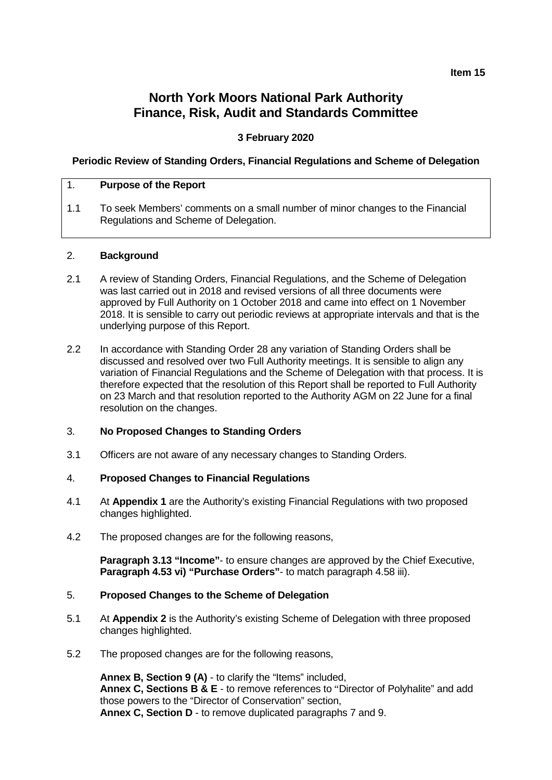#### **Item 15**

# **North York Moors National Park Authority Finance, Risk, Audit and Standards Committee**

## **3 February 2020**

## **Periodic Review of Standing Orders, Financial Regulations and Scheme of Delegation**

#### 1. **Purpose of the Report**

1.1 To seek Members' comments on a small number of minor changes to the Financial Regulations and Scheme of Delegation.

#### 2. **Background**

- 2.1 A review of Standing Orders, Financial Regulations, and the Scheme of Delegation was last carried out in 2018 and revised versions of all three documents were approved by Full Authority on 1 October 2018 and came into effect on 1 November 2018. It is sensible to carry out periodic reviews at appropriate intervals and that is the underlying purpose of this Report.
- 2.2 In accordance with Standing Order 28 any variation of Standing Orders shall be discussed and resolved over two Full Authority meetings. It is sensible to align any variation of Financial Regulations and the Scheme of Delegation with that process. It is therefore expected that the resolution of this Report shall be reported to Full Authority on 23 March and that resolution reported to the Authority AGM on 22 June for a final resolution on the changes.

# 3. **No Proposed Changes to Standing Orders**

3.1 Officers are not aware of any necessary changes to Standing Orders.

#### 4. **Proposed Changes to Financial Regulations**

- 4.1 At **Appendix 1** are the Authority's existing Financial Regulations with two proposed changes highlighted.
- 4.2 The proposed changes are for the following reasons,

**Paragraph 3.13 "Income"**- to ensure changes are approved by the Chief Executive, **Paragraph 4.53 vi) "Purchase Orders"**- to match paragraph 4.58 iii).

#### 5. **Proposed Changes to the Scheme of Delegation**

- 5.1 At **Appendix 2** is the Authority's existing Scheme of Delegation with three proposed changes highlighted.
- 5.2 The proposed changes are for the following reasons,

**Annex B, Section 9 (A)** - to clarify the "Items" included, **Annex C, Sections B & E** - to remove references to "Director of Polyhalite" and add those powers to the "Director of Conservation" section, **Annex C, Section D** - to remove duplicated paragraphs 7 and 9.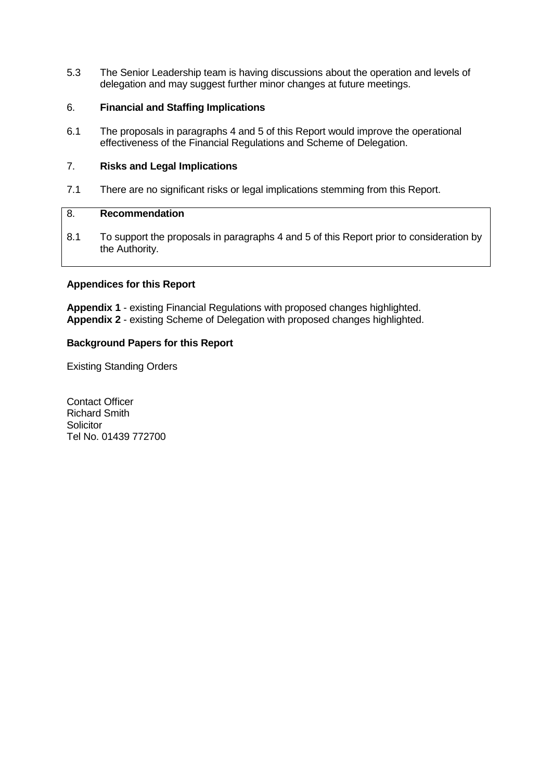5.3 The Senior Leadership team is having discussions about the operation and levels of delegation and may suggest further minor changes at future meetings.

# 6. **Financial and Staffing Implications**

6.1 The proposals in paragraphs 4 and 5 of this Report would improve the operational effectiveness of the Financial Regulations and Scheme of Delegation.

# 7. **Risks and Legal Implications**

7.1 There are no significant risks or legal implications stemming from this Report.

# 8. **Recommendation**

8.1 To support the proposals in paragraphs 4 and 5 of this Report prior to consideration by the Authority.

# **Appendices for this Report**

**Appendix 1** - existing Financial Regulations with proposed changes highlighted. **Appendix 2** - existing Scheme of Delegation with proposed changes highlighted.

#### **Background Papers for this Report**

Existing Standing Orders

Contact Officer Richard Smith **Solicitor** Tel No. 01439 772700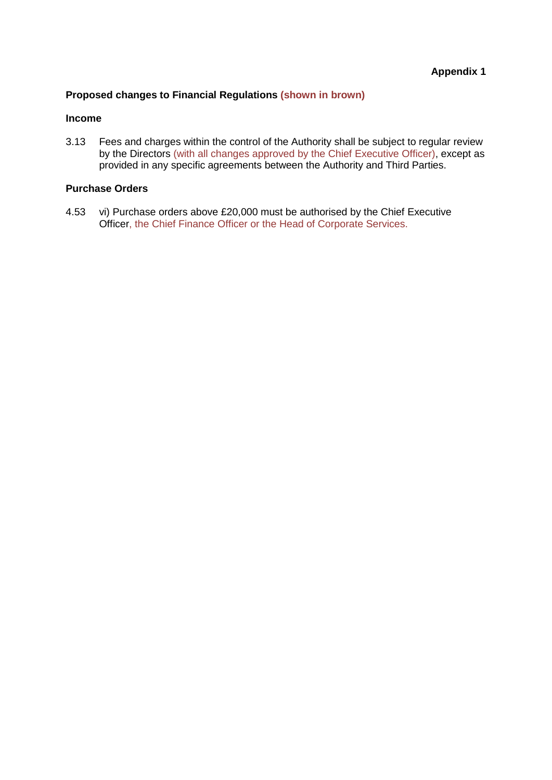# **Proposed changes to Financial Regulations (shown in brown)**

#### **Income**

3.13 Fees and charges within the control of the Authority shall be subject to regular review by the Directors (with all changes approved by the Chief Executive Officer), except as provided in any specific agreements between the Authority and Third Parties.

# **Purchase Orders**

4.53 vi) Purchase orders above £20,000 must be authorised by the Chief Executive Officer, the Chief Finance Officer or the Head of Corporate Services.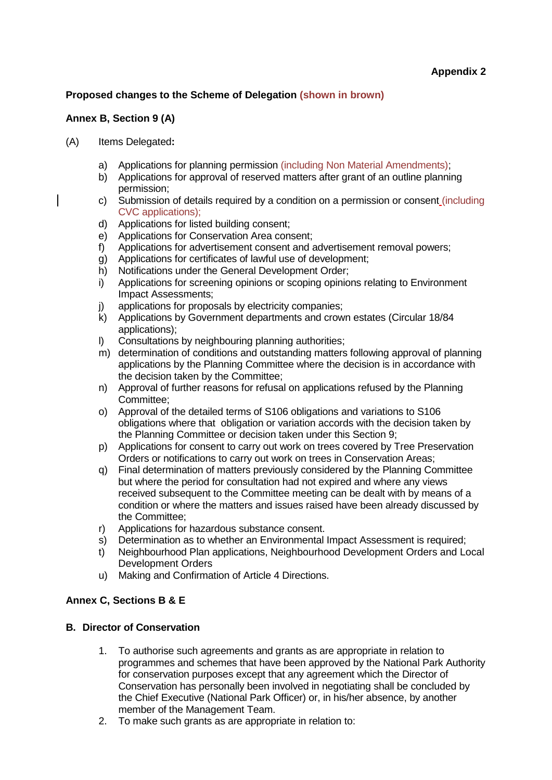# **Proposed changes to the Scheme of Delegation (shown in brown)**

# **Annex B, Section 9 (A)**

- (A) Items Delegated**:**
	- a) Applications for planning permission (including Non Material Amendments);
	- b) Applications for approval of reserved matters after grant of an outline planning permission;
	- c) Submission of details required by a condition on a permission or consent (including CVC applications);
	- d) Applications for listed building consent;
	- e) Applications for Conservation Area consent;
	- f) Applications for advertisement consent and advertisement removal powers;
	- g) Applications for certificates of lawful use of development;
	- h) Notifications under the General Development Order;
	- i) Applications for screening opinions or scoping opinions relating to Environment Impact Assessments;
	- j) applications for proposals by electricity companies;<br>
	k) Applications by Government departments and crow
	- k) Applications by Government departments and crown estates (Circular 18/84 applications);
	- l) Consultations by neighbouring planning authorities;
	- m) determination of conditions and outstanding matters following approval of planning applications by the Planning Committee where the decision is in accordance with the decision taken by the Committee;
	- n) Approval of further reasons for refusal on applications refused by the Planning Committee;
	- o) Approval of the detailed terms of S106 obligations and variations to S106 obligations where that obligation or variation accords with the decision taken by the Planning Committee or decision taken under this Section 9;
	- p) Applications for consent to carry out work on trees covered by Tree Preservation Orders or notifications to carry out work on trees in Conservation Areas;
	- q) Final determination of matters previously considered by the Planning Committee but where the period for consultation had not expired and where any views received subsequent to the Committee meeting can be dealt with by means of a condition or where the matters and issues raised have been already discussed by the Committee;
	- r) Applications for hazardous substance consent.
	- s) Determination as to whether an Environmental Impact Assessment is required;
	- t) Neighbourhood Plan applications, Neighbourhood Development Orders and Local Development Orders
	- u) Making and Confirmation of Article 4 Directions.

# **Annex C, Sections B & E**

# **B. Director of Conservation**

- 1. To authorise such agreements and grants as are appropriate in relation to programmes and schemes that have been approved by the National Park Authority for conservation purposes except that any agreement which the Director of Conservation has personally been involved in negotiating shall be concluded by the Chief Executive (National Park Officer) or, in his/her absence, by another member of the Management Team.
- 2. To make such grants as are appropriate in relation to: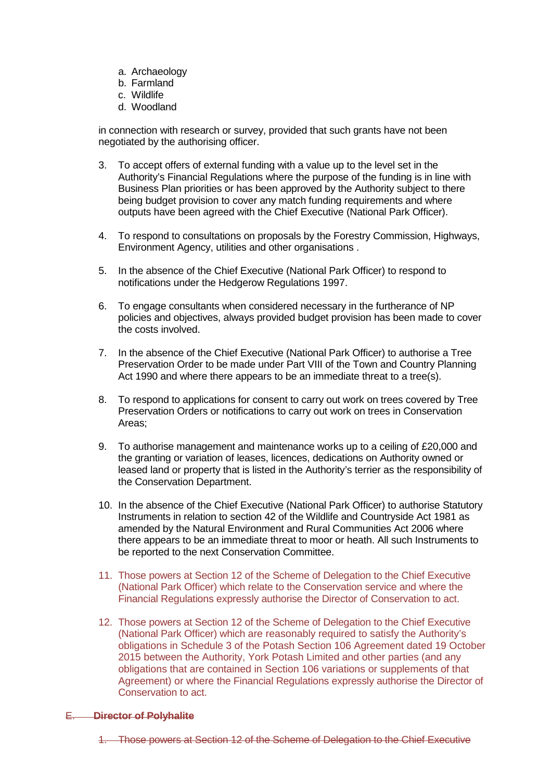- a. Archaeology
- b. Farmland
- c. Wildlife
- d. Woodland

in connection with research or survey, provided that such grants have not been negotiated by the authorising officer.

- 3. To accept offers of external funding with a value up to the level set in the Authority's Financial Regulations where the purpose of the funding is in line with Business Plan priorities or has been approved by the Authority subject to there being budget provision to cover any match funding requirements and where outputs have been agreed with the Chief Executive (National Park Officer).
- 4. To respond to consultations on proposals by the Forestry Commission, Highways, Environment Agency, utilities and other organisations .
- 5. In the absence of the Chief Executive (National Park Officer) to respond to notifications under the Hedgerow Regulations 1997.
- 6. To engage consultants when considered necessary in the furtherance of NP policies and objectives, always provided budget provision has been made to cover the costs involved.
- 7. In the absence of the Chief Executive (National Park Officer) to authorise a Tree Preservation Order to be made under Part VIII of the Town and Country Planning Act 1990 and where there appears to be an immediate threat to a tree(s).
- 8. To respond to applications for consent to carry out work on trees covered by Tree Preservation Orders or notifications to carry out work on trees in Conservation Areas;
- 9. To authorise management and maintenance works up to a ceiling of £20,000 and the granting or variation of leases, licences, dedications on Authority owned or leased land or property that is listed in the Authority's terrier as the responsibility of the Conservation Department.
- 10. In the absence of the Chief Executive (National Park Officer) to authorise Statutory Instruments in relation to section 42 of the Wildlife and Countryside Act 1981 as amended by the Natural Environment and Rural Communities Act 2006 where there appears to be an immediate threat to moor or heath. All such Instruments to be reported to the next Conservation Committee.
- 11. Those powers at Section 12 of the Scheme of Delegation to the Chief Executive (National Park Officer) which relate to the Conservation service and where the Financial Regulations expressly authorise the Director of Conservation to act.
- 12. Those powers at Section 12 of the Scheme of Delegation to the Chief Executive (National Park Officer) which are reasonably required to satisfy the Authority's obligations in Schedule 3 of the Potash Section 106 Agreement dated 19 October 2015 between the Authority, York Potash Limited and other parties (and any obligations that are contained in Section 106 variations or supplements of that Agreement) or where the Financial Regulations expressly authorise the Director of Conservation to act.

#### E. **Director of Polyhalite**

1. Those powers at Section 12 of the Scheme of Delegation to the Chief Executive